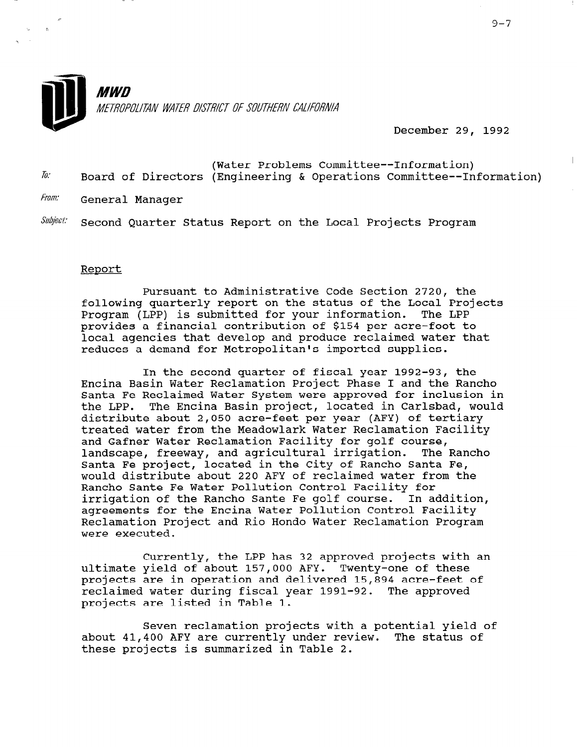

**MWD** METROPOLITAN WATER DISTRICT OF SOUTHERN CALIFORNIA

December 29, 1992

- (Water Problems Committee--Information)  $\bar{b}$ . Board of Directors (Engineering & Operations Committee--Information)
- From: General Manager

Subject: Second Quarter Status Report on the Local Projects Program

### Report

Pursuant to Administrative Code Section 2720, the following quarterly report on the status of the Local Projects Program (LPP) is submitted for your information. The LPP provides a financial contribution of \$154 per acre-foot to local agencies that develop and produce reclaimed water that reduces a demand for Metropolitan's imported supplies.

In the second quarter of fiscal year 1992-93, the Encina Basin Water Reclamation Project Phase I and the Ranch0 Santa Fe Reclaimed Water System were approved for inclusion in the LPP. The Encina Basin project, located in Carlsbad, would distribute about 2,050 acre-feet per year (AFY) of tertiary treated water from the Meadowlark Water Reclamation Facility and Gafner Water Reclamation Facility for golf course, landscape, freeway, and agricultural irrigation. The Rancho Santa Fe project, located in the City of Rancho Santa Fe, would distribute about 220 AFY of reclaimed water from the Ranch0 Sante Fe Water Pollution Control Facility for irrigation of the Ranch0 Sante Fe golf course. In addition, agreements for the Encina Water Pollution Control Facility Reclamation Project and Rio Hondo Water Reclamation Program were executed.

Currently, the LPP has 32 approved projects with an ultimate yield of about 157,000 AFY. Twenty-one of these projects are in operation and delivered 15,894 acre-feet of reclaimed water during fiscal year 1991-92. The approved projects are listed in Table 1.

Seven reclamation projects with a potential yield of about 41,400 AFV are currently under review. The status of dbout 41,400 Ari are currently under rev

 $\overline{\phantom{a}}$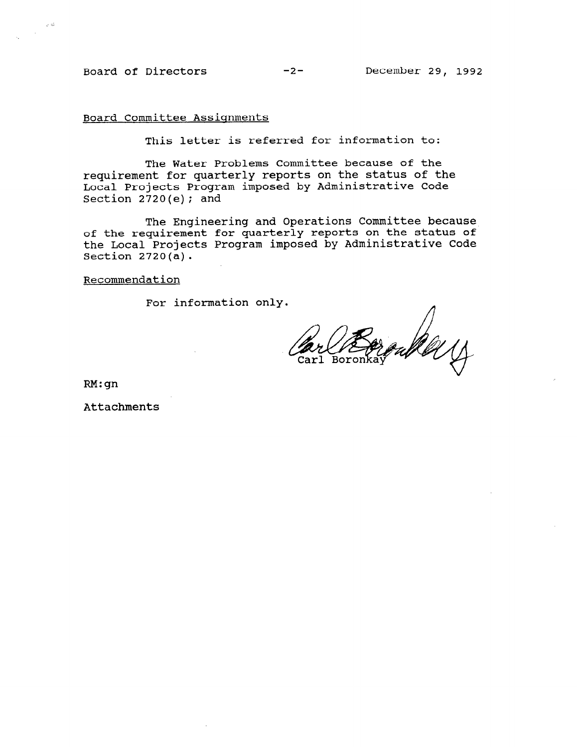$\bar{\rho}$   $\bar{\phi}$ 

Board Committee Assignments

This letter is referred for information to:

The Water Problems Committee because of the requirement for quarterly reports on the status of the Local Projects Program imposed by Administrative Code Section  $2720(e)$ ; and

The Engineering and Operations Committee because of the requirement for quarterly reports on the status of the Local Projects Program imposed by Administrative Code Section  $2720(a)$ .

#### Recommendation

For information only.

oute 11

RM:gn

Attachments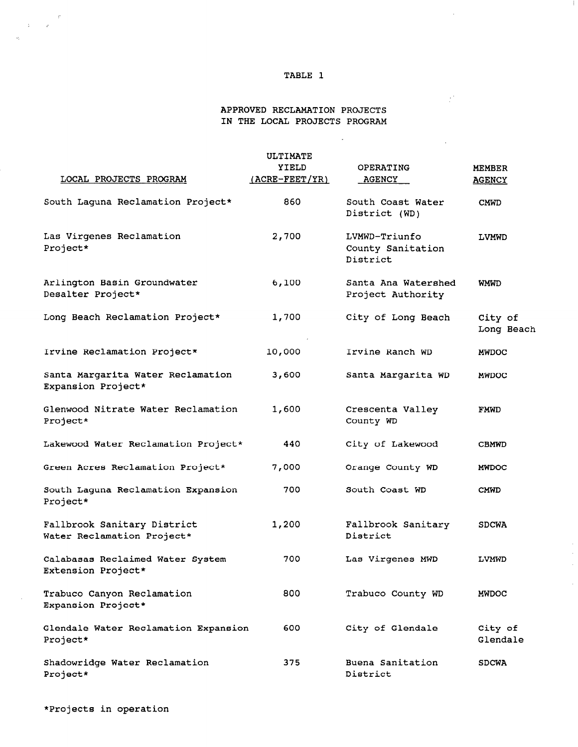# TABLE 1

÷

 $\bar{z}$ 

 $\bar{L}$ 

 $\hat{\mathcal{A}}$ 

 $\hat{\mathcal{A}}$ 

 $\mathcal{L}^{\text{max}}$ 

 $\bar{z}$ 

### APPROVED RECLAMATION PROJECTS IN THE LOCAL PROJECTS PROGRAM

 $\mathcal{A}^{\pm}$ 

| ULTIMATE                                                  |                                                   |                                                |                                |  |
|-----------------------------------------------------------|---------------------------------------------------|------------------------------------------------|--------------------------------|--|
| LOCAL PROJECTS PROGRAM                                    | <b>YIELD</b><br>(ACRE-FEET/YR)                    | OPERATING<br>AGENCY                            | <b>MEMBER</b><br><b>AGENCY</b> |  |
| South Laguna Reclamation Project*                         | 860                                               | South Coast Water<br>District (WD)             | <b>CMWD</b>                    |  |
| Las Virgenes Reclamation<br>Project*                      | 2,700                                             | LVMWD-Triunfo<br>County Sanitation<br>District | LVMWD                          |  |
| Arlington Basin Groundwater<br>Desalter Project*          | 6,100<br>Santa Ana Watershed<br>Project Authority |                                                | <b>WMWD</b>                    |  |
| Long Beach Reclamation Project*                           | 1,700                                             | City of Long Beach                             | City of<br>Long Beach          |  |
| Irvine Reclamation Project*                               | 10,000                                            | Irvine Ranch WD                                | <b>MWDOC</b>                   |  |
| Santa Margarita Water Reclamation<br>Expansion Project*   | 3,600                                             | Santa Margarita WD                             | <b>MWDOC</b>                   |  |
| Glenwood Nitrate Water Reclamation<br>Project*            | 1,600                                             | Crescenta Valley<br>County WD                  | <b>FMWD</b>                    |  |
| Lakewood Water Reclamation Project*                       | 440                                               | City of Lakewood                               | <b>CBMWD</b>                   |  |
| Green Acres Reclamation Project*                          | 7,000                                             | Orange County WD                               | <b>MWDOC</b>                   |  |
| South Laguna Reclamation Expansion<br>Project*            | 700                                               | South Coast WD                                 | CMWD                           |  |
| Fallbrook Sanitary District<br>Water Reclamation Project* | 1,200                                             | Fallbrook Sanitary<br>District                 | <b>SDCWA</b>                   |  |
| Calabasas Reclaimed Water System<br>Extension Project*    | 700                                               | Las Virgenes MWD                               | LVMWD                          |  |
| Trabuco Canyon Reclamation<br>Expansion Project*          | 800                                               | Trabuco County WD                              | <b>MWDOC</b>                   |  |
| Glendale Water Reclamation Expansion<br>Project*          | 600                                               | City of Glendale                               | City of<br>Glendale            |  |
| Shadowridge Water Reclamation<br>Project*                 | 375                                               | Buena Sanitation<br>District                   | <b>SDCWA</b>                   |  |

 $\sim$ 

 $\label{eq:3.1} \begin{array}{ccccc} & & & & \mathcal{C}^1 & \\ & & & & & \mathcal{C}^1 & \\ & & & & & \mathcal{C}^1 & \\ & & & & & \mathcal{C}^1 & \\ & & & & & & \mathcal{C}^2 & \\ & & & & & & \mathcal{C}^2 & \\ & & & & & & & \mathcal{C}^3 & \\ & & & & & & & \mathcal{C}^4 & \\ & & & & & & & \mathcal{C}^5 & \\ & & & & & & & & \mathcal{C}^6 & \\ & & & & & & & & \mathcal{C}^6 & \\ & & & & & & & & & \mathcal{C}^6 & \\ & & & & & &$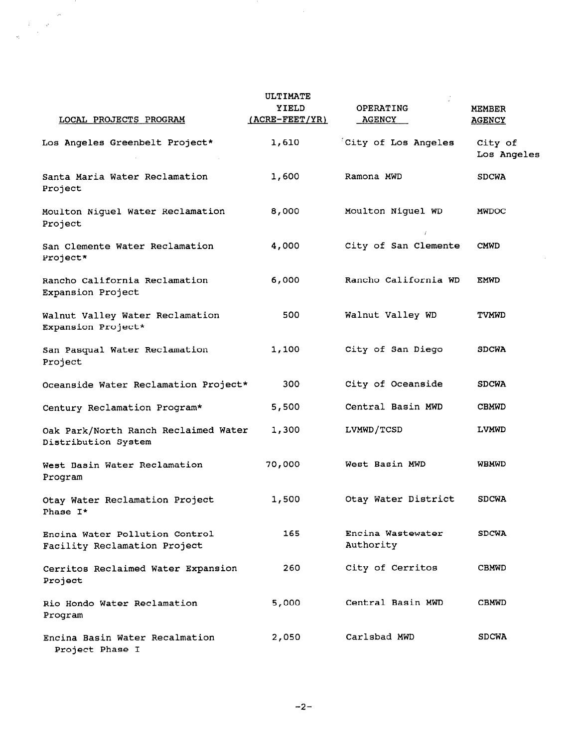| ULTIMATE                                                       |                         |                                 |                                |  |
|----------------------------------------------------------------|-------------------------|---------------------------------|--------------------------------|--|
| LOCAL PROJECTS PROGRAM                                         | YIELD<br>(ACRE-FEET/YR) | OPERATING<br><b>AGENCY</b>      | <b>MEMBER</b><br><b>AGENCY</b> |  |
| Los Angeles Greenbelt Project*                                 | 1,610                   | City of Los Angeles             | City of<br>Los Angeles         |  |
| Santa Maria Water Reclamation<br>Project                       | 1,600                   | Ramona MWD                      | <b>SDCWA</b>                   |  |
| Moulton Niguel Water Reclamation<br>Project                    | 8,000                   | Moulton Niguel WD<br>$\ddot{l}$ | <b>MWDOC</b>                   |  |
| San Clemente Water Reclamation<br>Project*                     | 4,000                   | City of San Clemente            | <b>CMWD</b>                    |  |
| Rancho California Reclamation<br>Expansion Project             | 6,000                   | Rancho California WD            | <b>EMWD</b>                    |  |
| Walnut Valley Water Reclamation<br>Expansion Project*          | 500                     | Walnut Valley WD                | <b>TVMWD</b>                   |  |
| San Pasqual Water Reclamation<br>Project                       | 1,100                   | City of San Diego               | <b>SDCWA</b>                   |  |
| Oceanside Water Reclamation Project*                           | 300                     | City of Oceanside               | <b>SDCWA</b>                   |  |
| Century Reclamation Program*                                   | 5,500                   | Central Basin MWD               | <b>CBMWD</b>                   |  |
| Oak Park/North Ranch Reclaimed Water<br>Distribution System    | 1,300                   | LVMWD/TCSD                      | <b>LVMWD</b>                   |  |
| West Basin Water Reclamation<br>Program                        | 70,000                  | West Basin MWD                  | <b>WBMWD</b>                   |  |
| Otay Water Reclamation Project<br>Phase I*                     | 1,500                   | Otay Water District             | <b>SDCWA</b>                   |  |
| Encina Water Pollution Control<br>Facility Reclamation Project | 165                     | Encina Wastewater<br>Authority  | <b>SDCWA</b>                   |  |
| Cerritos Reclaimed Water Expansion<br>Project                  | 260                     | City of Cerritos                | <b>CBMWD</b>                   |  |
| Rio Hondo Water Reclamation<br>Program                         | 5,000                   | Central Basin MWD               | <b>CBMWD</b>                   |  |
| Encina Basin Water Recalmation<br>Project Phase I              | 2,050                   | Carlsbad MWD                    | <b>SDCWA</b>                   |  |

 $\hat{\boldsymbol{\beta}}$ 

 $\label{eq:2} \frac{1}{\sqrt{2}}\left(\frac{1}{\sqrt{2}}\right)^2$ 

 $\label{eq:2} \begin{array}{c} \mathcal{P} \\ \mathcal{P} \\ \mathcal{P} \\ \mathcal{P} \\ \mathcal{P} \end{array}$ 

l.<br>N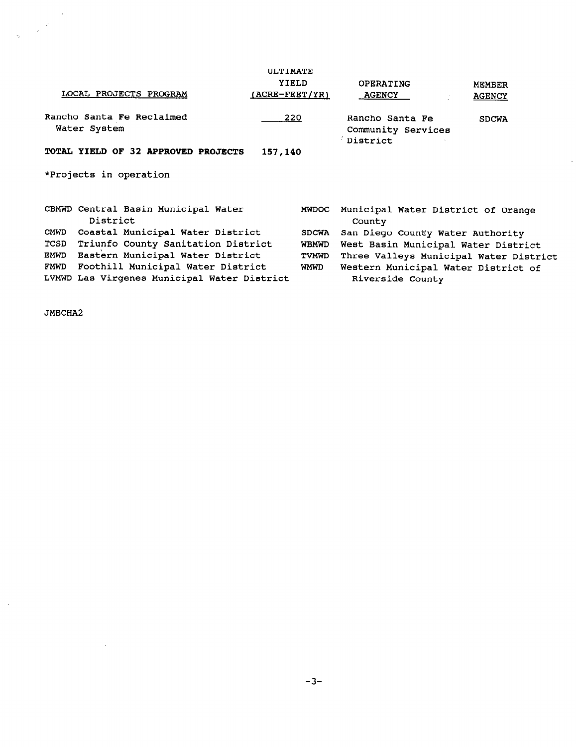|      | LOCAL PROJECTS PROGRAM                                                           | ULTIMATE<br>YIELD<br>$(ACRE-FEET/YR)$ |              | OPERATING<br><b>AGENCY</b>                              | <b>MEMBER</b><br><b>AGENCY</b> |  |
|------|----------------------------------------------------------------------------------|---------------------------------------|--------------|---------------------------------------------------------|--------------------------------|--|
|      | Rancho Santa Fe Reclaimed<br>Water System                                        | 220                                   |              | Rancho Santa Fe<br>Community Services<br>District       | <b>SDCWA</b>                   |  |
|      | TOTAL YIELD OF 32 APPROVED PROJECTS<br>157,140                                   |                                       |              |                                                         |                                |  |
|      | *Projects in operation                                                           |                                       |              |                                                         |                                |  |
|      | CBMWD Central Basin Municipal Water<br>District                                  |                                       | <b>MWDOC</b> | Municipal Water District of Orange<br>County            |                                |  |
| CMWD | Coastal Municipal Water District                                                 |                                       | <b>SDCWA</b> | San Diego County Water Authority                        |                                |  |
| TCSD | Triunfo County Sanitation District                                               |                                       | <b>WBMWD</b> | West Basin Municipal Water District                     |                                |  |
| EMWD | Eastern Municipal Water District                                                 |                                       | <b>TVMWD</b> | Three Valleys Municipal Water District                  |                                |  |
| FMWD | Foothill Municipal Water District<br>LVMWD Las Virgenes Municipal Water District |                                       | WMWD         | Western Municipal Water District of<br>Riverside County |                                |  |

 $\sim$ 

JMBCHA2

 $\sim$ 

 $\sim 10^6$